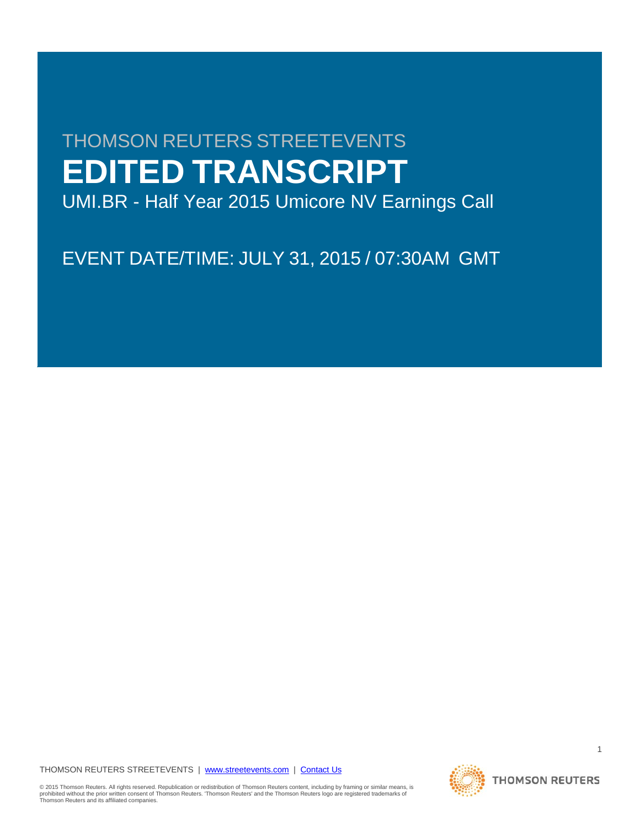# THOMSON REUTERS STREETEVENTS **EDITED TRANSCRIPT**

UMI.BR - Half Year 2015 Umicore NV Earnings Call

EVENT DATE/TIME: JULY 31, 2015 / 07:30AM GMT

THOMSON REUTERS STREETEVENTS | [www.streetevents.com](http://www.streetevents.com/) | [Contact Us](http://www010.streetevents.com/contact.asp)

© 2015 Thomson Reuters. All rights reserved. Republication or redistribution of Thomson Reuters content, including by framing or similar means, is<br>prohibited without the prior written consent of Thomson Reuters. 'Thomson R Thomson Reuters and its affiliated companies.

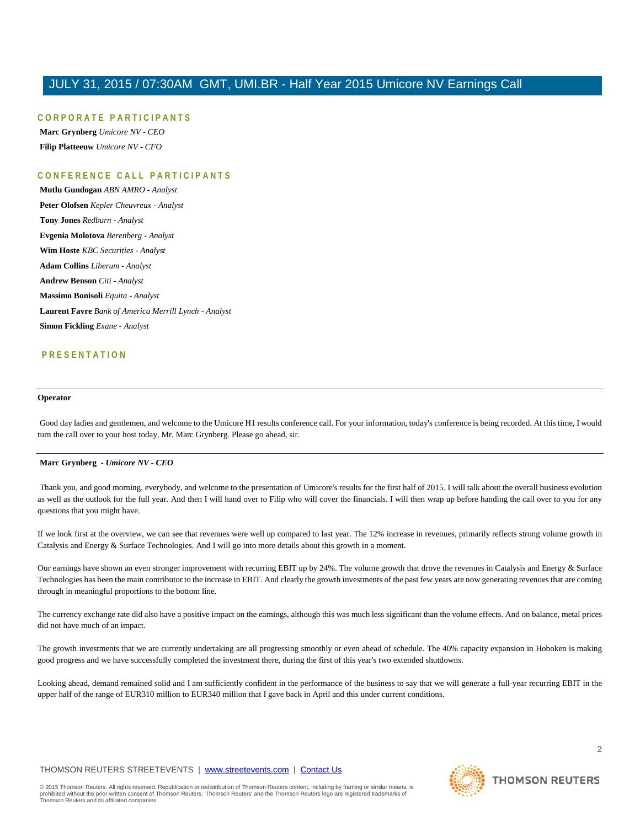# **CORPORATE PARTICIPAN T S**

**Marc Grynberg** *Umicore NV - CEO* **Filip Platteeuw** *Umicore NV - CFO*

# **CONFERENCE CALL PART ICIPANTS**

**Mutlu Gundogan** *ABN AMRO - Analyst* **Peter Olofsen** *Kepler Cheuvreux - Analyst* **Tony Jones** *Redburn - Analyst* **Evgenia Molotova** *Berenberg - Analyst* **Wim Hoste** *KBC Securities - Analyst* **Adam Collins** *Liberum - Analyst* **Andrew Benson** *Citi - Analyst* **Massimo Bonisoli** *Equita - Analyst* **Laurent Favre** *Bank of America Merrill Lynch - Analyst* **Simon Fickling** *Exane - Analyst*

# **PRESENTATION**

#### **Operator**

Good day ladies and gentlemen, and welcome to the Umicore H1 results conference call. For your information, today's conference is being recorded. At this time, I would turn the call over to your host today, Mr. Marc Grynberg. Please go ahead, sir.

## **Marc Grynberg** *- Umicore NV - CEO*

Thank you, and good morning, everybody, and welcome to the presentation of Umicore's results for the first half of 2015. I will talk about the overall business evolution as well as the outlook for the full year. And then I will hand over to Filip who will cover the financials. I will then wrap up before handing the call over to you for any questions that you might have.

If we look first at the overview, we can see that revenues were well up compared to last year. The 12% increase in revenues, primarily reflects strong volume growth in Catalysis and Energy & Surface Technologies. And I will go into more details about this growth in a moment.

Our earnings have shown an even stronger improvement with recurring EBIT up by 24%. The volume growth that drove the revenues in Catalysis and Energy & Surface Technologies has been the main contributor to the increase in EBIT. And clearly the growth investments of the past few years are now generating revenues that are coming through in meaningful proportions to the bottom line.

The currency exchange rate did also have a positive impact on the earnings, although this was much less significant than the volume effects. And on balance, metal prices did not have much of an impact.

The growth investments that we are currently undertaking are all progressing smoothly or even ahead of schedule. The 40% capacity expansion in Hoboken is making good progress and we have successfully completed the investment there, during the first of this year's two extended shutdowns.

Looking ahead, demand remained solid and I am sufficiently confident in the performance of the business to say that we will generate a full-year recurring EBIT in the upper half of the range of EUR310 million to EUR340 million that I gave back in April and this under current conditions.

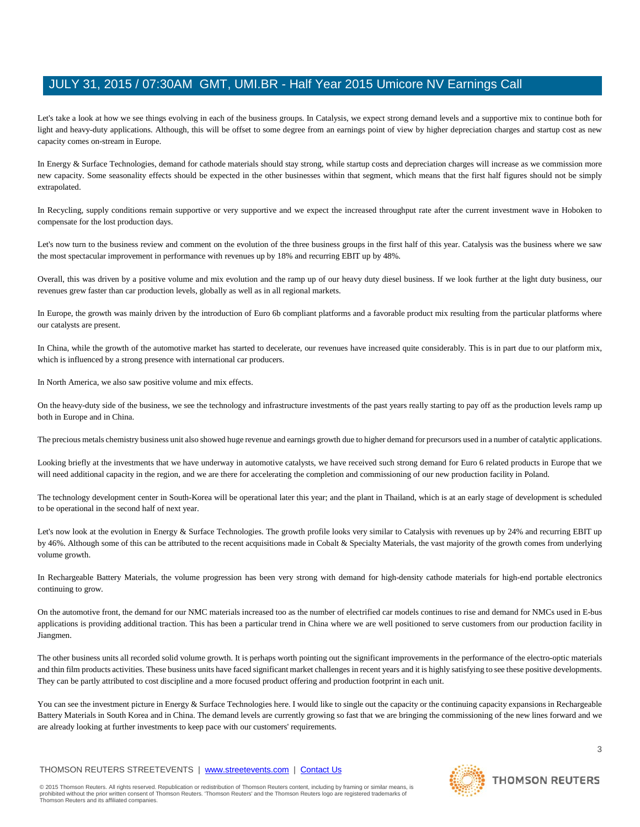Let's take a look at how we see things evolving in each of the business groups. In Catalysis, we expect strong demand levels and a supportive mix to continue both for light and heavy-duty applications. Although, this will be offset to some degree from an earnings point of view by higher depreciation charges and startup cost as new capacity comes on-stream in Europe.

In Energy & Surface Technologies, demand for cathode materials should stay strong, while startup costs and depreciation charges will increase as we commission more new capacity. Some seasonality effects should be expected in the other businesses within that segment, which means that the first half figures should not be simply extrapolated.

In Recycling, supply conditions remain supportive or very supportive and we expect the increased throughput rate after the current investment wave in Hoboken to compensate for the lost production days.

Let's now turn to the business review and comment on the evolution of the three business groups in the first half of this year. Catalysis was the business where we saw the most spectacular improvement in performance with revenues up by 18% and recurring EBIT up by 48%.

Overall, this was driven by a positive volume and mix evolution and the ramp up of our heavy duty diesel business. If we look further at the light duty business, our revenues grew faster than car production levels, globally as well as in all regional markets.

In Europe, the growth was mainly driven by the introduction of Euro 6b compliant platforms and a favorable product mix resulting from the particular platforms where our catalysts are present.

In China, while the growth of the automotive market has started to decelerate, our revenues have increased quite considerably. This is in part due to our platform mix, which is influenced by a strong presence with international car producers.

In North America, we also saw positive volume and mix effects.

On the heavy-duty side of the business, we see the technology and infrastructure investments of the past years really starting to pay off as the production levels ramp up both in Europe and in China.

The precious metals chemistry business unit also showed huge revenue and earnings growth due to higher demand for precursors used in a number of catalytic applications.

Looking briefly at the investments that we have underway in automotive catalysts, we have received such strong demand for Euro 6 related products in Europe that we will need additional capacity in the region, and we are there for accelerating the completion and commissioning of our new production facility in Poland.

The technology development center in South-Korea will be operational later this year; and the plant in Thailand, which is at an early stage of development is scheduled to be operational in the second half of next year.

Let's now look at the evolution in Energy & Surface Technologies. The growth profile looks very similar to Catalysis with revenues up by 24% and recurring EBIT up by 46%. Although some of this can be attributed to the recent acquisitions made in Cobalt & Specialty Materials, the vast majority of the growth comes from underlying volume growth.

In Rechargeable Battery Materials, the volume progression has been very strong with demand for high-density cathode materials for high-end portable electronics continuing to grow.

On the automotive front, the demand for our NMC materials increased too as the number of electrified car models continues to rise and demand for NMCs used in E-bus applications is providing additional traction. This has been a particular trend in China where we are well positioned to serve customers from our production facility in Jiangmen.

The other business units all recorded solid volume growth. It is perhaps worth pointing out the significant improvements in the performance of the electro-optic materials and thin film products activities. These business units have faced significant market challenges in recent years and it is highly satisfying to see these positive developments. They can be partly attributed to cost discipline and a more focused product offering and production footprint in each unit.

You can see the investment picture in Energy & Surface Technologies here. I would like to single out the capacity or the continuing capacity expansions in Rechargeable Battery Materials in South Korea and in China. The demand levels are currently growing so fast that we are bringing the commissioning of the new lines forward and we are already looking at further investments to keep pace with our customers' requirements.

# THOMSON REUTERS STREETEVENTS | [www.streetevents.com](http://www.streetevents.com/) | [Contact Us](http://www010.streetevents.com/contact.asp)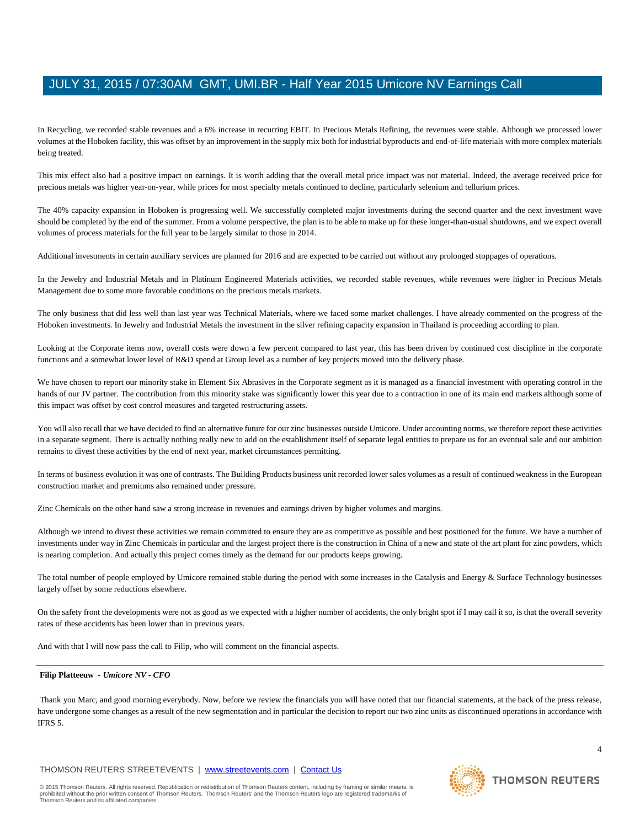In Recycling, we recorded stable revenues and a 6% increase in recurring EBIT. In Precious Metals Refining, the revenues were stable. Although we processed lower volumes at the Hoboken facility, this was offset by an improvement in the supply mix both for industrial byproducts and end-of-life materials with more complex materials being treated.

This mix effect also had a positive impact on earnings. It is worth adding that the overall metal price impact was not material. Indeed, the average received price for precious metals was higher year-on-year, while prices for most specialty metals continued to decline, particularly selenium and tellurium prices.

The 40% capacity expansion in Hoboken is progressing well. We successfully completed major investments during the second quarter and the next investment wave should be completed by the end of the summer. From a volume perspective, the plan is to be able to make up for these longer-than-usual shutdowns, and we expect overall volumes of process materials for the full year to be largely similar to those in 2014.

Additional investments in certain auxiliary services are planned for 2016 and are expected to be carried out without any prolonged stoppages of operations.

In the Jewelry and Industrial Metals and in Platinum Engineered Materials activities, we recorded stable revenues, while revenues were higher in Precious Metals Management due to some more favorable conditions on the precious metals markets.

The only business that did less well than last year was Technical Materials, where we faced some market challenges. I have already commented on the progress of the Hoboken investments. In Jewelry and Industrial Metals the investment in the silver refining capacity expansion in Thailand is proceeding according to plan.

Looking at the Corporate items now, overall costs were down a few percent compared to last year, this has been driven by continued cost discipline in the corporate functions and a somewhat lower level of R&D spend at Group level as a number of key projects moved into the delivery phase.

We have chosen to report our minority stake in Element Six Abrasives in the Corporate segment as it is managed as a financial investment with operating control in the hands of our JV partner. The contribution from this minority stake was significantly lower this year due to a contraction in one of its main end markets although some of this impact was offset by cost control measures and targeted restructuring assets.

You will also recall that we have decided to find an alternative future for our zinc businesses outside Umicore. Under accounting norms, we therefore report these activities in a separate segment. There is actually nothing really new to add on the establishment itself of separate legal entities to prepare us for an eventual sale and our ambition remains to divest these activities by the end of next year, market circumstances permitting.

In terms of business evolution it was one of contrasts. The Building Products business unit recorded lower sales volumes as a result of continued weakness in the European construction market and premiums also remained under pressure.

Zinc Chemicals on the other hand saw a strong increase in revenues and earnings driven by higher volumes and margins.

Although we intend to divest these activities we remain committed to ensure they are as competitive as possible and best positioned for the future. We have a number of investments under way in Zinc Chemicals in particular and the largest project there is the construction in China of a new and state of the art plant for zinc powders, which is nearing completion. And actually this project comes timely as the demand for our products keeps growing.

The total number of people employed by Umicore remained stable during the period with some increases in the Catalysis and Energy & Surface Technology businesses largely offset by some reductions elsewhere.

On the safety front the developments were not as good as we expected with a higher number of accidents, the only bright spot if I may call it so, is that the overall severity rates of these accidents has been lower than in previous years.

And with that I will now pass the call to Filip, who will comment on the financial aspects.

# **Filip Platteeuw** *- Umicore NV - CFO*

Thank you Marc, and good morning everybody. Now, before we review the financials you will have noted that our financial statements, at the back of the press release, have undergone some changes as a result of the new segmentation and in particular the decision to report our two zinc units as discontinued operations in accordance with IFRS 5.

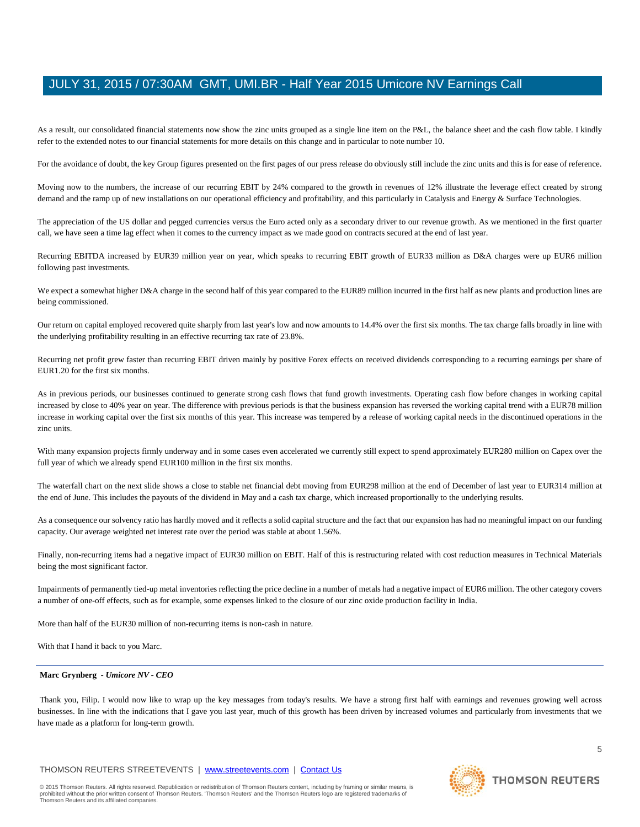As a result, our consolidated financial statements now show the zinc units grouped as a single line item on the P&L, the balance sheet and the cash flow table. I kindly refer to the extended notes to our financial statements for more details on this change and in particular to note number 10.

For the avoidance of doubt, the key Group figures presented on the first pages of our press release do obviously still include the zinc units and this is for ease of reference.

Moving now to the numbers, the increase of our recurring EBIT by 24% compared to the growth in revenues of 12% illustrate the leverage effect created by strong demand and the ramp up of new installations on our operational efficiency and profitability, and this particularly in Catalysis and Energy  $&$  Surface Technologies.

The appreciation of the US dollar and pegged currencies versus the Euro acted only as a secondary driver to our revenue growth. As we mentioned in the first quarter call, we have seen a time lag effect when it comes to the currency impact as we made good on contracts secured at the end of last year.

Recurring EBITDA increased by EUR39 million year on year, which speaks to recurring EBIT growth of EUR33 million as D&A charges were up EUR6 million following past investments.

We expect a somewhat higher D&A charge in the second half of this year compared to the EUR89 million incurred in the first half as new plants and production lines are being commissioned.

Our return on capital employed recovered quite sharply from last year's low and now amounts to 14.4% over the first six months. The tax charge falls broadly in line with the underlying profitability resulting in an effective recurring tax rate of 23.8%.

Recurring net profit grew faster than recurring EBIT driven mainly by positive Forex effects on received dividends corresponding to a recurring earnings per share of EUR1.20 for the first six months.

As in previous periods, our businesses continued to generate strong cash flows that fund growth investments. Operating cash flow before changes in working capital increased by close to 40% year on year. The difference with previous periods is that the business expansion has reversed the working capital trend with a EUR78 million increase in working capital over the first six months of this year. This increase was tempered by a release of working capital needs in the discontinued operations in the zinc units.

With many expansion projects firmly underway and in some cases even accelerated we currently still expect to spend approximately EUR280 million on Capex over the full year of which we already spend EUR100 million in the first six months.

The waterfall chart on the next slide shows a close to stable net financial debt moving from EUR298 million at the end of December of last year to EUR314 million at the end of June. This includes the payouts of the dividend in May and a cash tax charge, which increased proportionally to the underlying results.

As a consequence our solvency ratio has hardly moved and it reflects a solid capital structure and the fact that our expansion has had no meaningful impact on our funding capacity. Our average weighted net interest rate over the period was stable at about 1.56%.

Finally, non-recurring items had a negative impact of EUR30 million on EBIT. Half of this is restructuring related with cost reduction measures in Technical Materials being the most significant factor.

Impairments of permanently tied-up metal inventories reflecting the price decline in a number of metals had a negative impact of EUR6 million. The other category covers a number of one-off effects, such as for example, some expenses linked to the closure of our zinc oxide production facility in India.

More than half of the EUR30 million of non-recurring items is non-cash in nature.

With that I hand it back to you Marc.

#### **Marc Grynberg** *- Umicore NV - CEO*

Thank you, Filip. I would now like to wrap up the key messages from today's results. We have a strong first half with earnings and revenues growing well across businesses. In line with the indications that I gave you last year, much of this growth has been driven by increased volumes and particularly from investments that we have made as a platform for long-term growth.

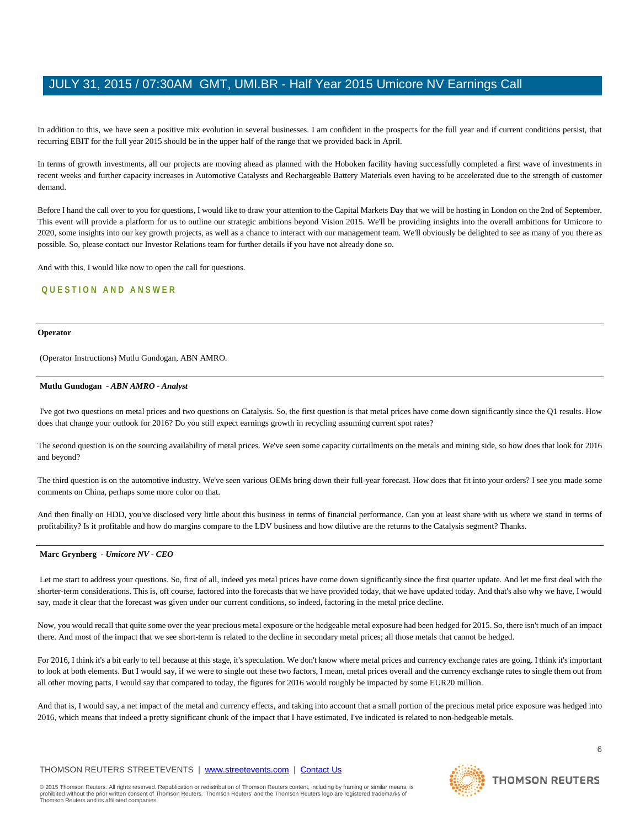In addition to this, we have seen a positive mix evolution in several businesses. I am confident in the prospects for the full year and if current conditions persist, that recurring EBIT for the full year 2015 should be in the upper half of the range that we provided back in April.

In terms of growth investments, all our projects are moving ahead as planned with the Hoboken facility having successfully completed a first wave of investments in recent weeks and further capacity increases in Automotive Catalysts and Rechargeable Battery Materials even having to be accelerated due to the strength of customer demand.

Before I hand the call over to you for questions, I would like to draw your attention to the Capital Markets Day that we will be hosting in London on the 2nd of September. This event will provide a platform for us to outline our strategic ambitions beyond Vision 2015. We'll be providing insights into the overall ambitions for Umicore to 2020, some insights into our key growth projects, as well as a chance to interact with our management team. We'll obviously be delighted to see as many of you there as possible. So, please contact our Investor Relations team for further details if you have not already done so.

And with this, I would like now to open the call for questions.

# **QUESTION AND ANSWER**

#### **Operator**

(Operator Instructions) Mutlu Gundogan, ABN AMRO.

## **Mutlu Gundogan** *- ABN AMRO - Analyst*

I've got two questions on metal prices and two questions on Catalysis. So, the first question is that metal prices have come down significantly since the Q1 results. How does that change your outlook for 2016? Do you still expect earnings growth in recycling assuming current spot rates?

The second question is on the sourcing availability of metal prices. We've seen some capacity curtailments on the metals and mining side, so how does that look for 2016 and beyond?

The third question is on the automotive industry. We've seen various OEMs bring down their full-year forecast. How does that fit into your orders? I see you made some comments on China, perhaps some more color on that.

And then finally on HDD, you've disclosed very little about this business in terms of financial performance. Can you at least share with us where we stand in terms of profitability? Is it profitable and how do margins compare to the LDV business and how dilutive are the returns to the Catalysis segment? Thanks.

#### **Marc Grynberg** *- Umicore NV - CEO*

Let me start to address your questions. So, first of all, indeed yes metal prices have come down significantly since the first quarter update. And let me first deal with the shorter-term considerations. This is, off course, factored into the forecasts that we have provided today, that we have updated today. And that's also why we have, I would say, made it clear that the forecast was given under our current conditions, so indeed, factoring in the metal price decline.

Now, you would recall that quite some over the year precious metal exposure or the hedgeable metal exposure had been hedged for 2015. So, there isn't much of an impact there. And most of the impact that we see short-term is related to the decline in secondary metal prices; all those metals that cannot be hedged.

For 2016, I think it's a bit early to tell because at this stage, it's speculation. We don't know where metal prices and currency exchange rates are going. I think it's important to look at both elements. But I would say, if we were to single out these two factors, I mean, metal prices overall and the currency exchange rates to single them out from all other moving parts, I would say that compared to today, the figures for 2016 would roughly be impacted by some EUR20 million.

And that is, I would say, a net impact of the metal and currency effects, and taking into account that a small portion of the precious metal price exposure was hedged into 2016, which means that indeed a pretty significant chunk of the impact that I have estimated, I've indicated is related to non-hedgeable metals.

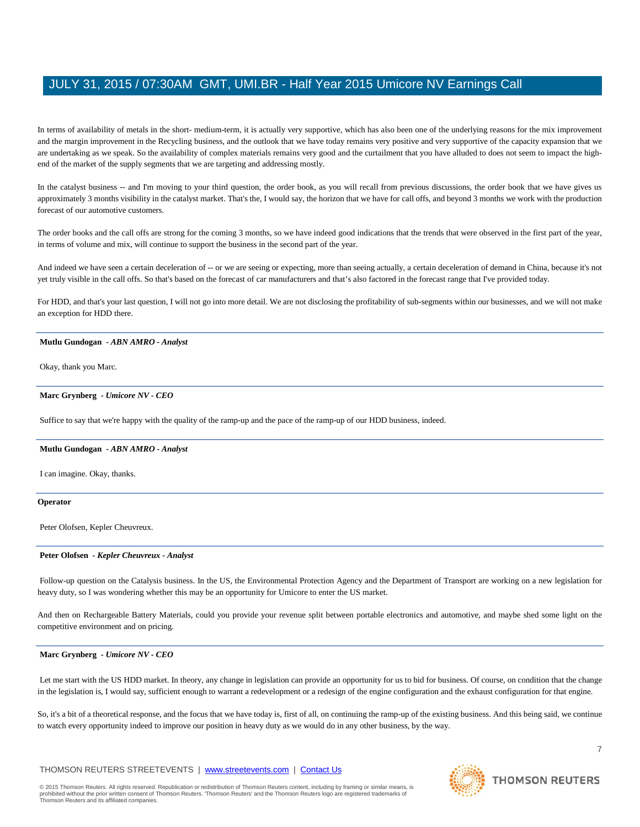In terms of availability of metals in the short- medium-term, it is actually very supportive, which has also been one of the underlying reasons for the mix improvement and the margin improvement in the Recycling business, and the outlook that we have today remains very positive and very supportive of the capacity expansion that we are undertaking as we speak. So the availability of complex materials remains very good and the curtailment that you have alluded to does not seem to impact the highend of the market of the supply segments that we are targeting and addressing mostly.

In the catalyst business -- and I'm moving to your third question, the order book, as you will recall from previous discussions, the order book that we have gives us approximately 3 months visibility in the catalyst market. That's the, I would say, the horizon that we have for call offs, and beyond 3 months we work with the production forecast of our automotive customers.

The order books and the call offs are strong for the coming 3 months, so we have indeed good indications that the trends that were observed in the first part of the year, in terms of volume and mix, will continue to support the business in the second part of the year.

And indeed we have seen a certain deceleration of -- or we are seeing or expecting, more than seeing actually, a certain deceleration of demand in China, because it's not yet truly visible in the call offs. So that's based on the forecast of car manufacturers and that's also factored in the forecast range that I've provided today.

For HDD, and that's your last question, I will not go into more detail. We are not disclosing the profitability of sub-segments within our businesses, and we will not make an exception for HDD there.

#### **Mutlu Gundogan** *- ABN AMRO - Analyst*

Okay, thank you Marc.

# **Marc Grynberg** *- Umicore NV - CEO*

Suffice to say that we're happy with the quality of the ramp-up and the pace of the ramp-up of our HDD business, indeed.

#### **Mutlu Gundogan** *- ABN AMRO - Analyst*

I can imagine. Okay, thanks.

#### **Operator**

Peter Olofsen, Kepler Cheuvreux.

#### **Peter Olofsen** *- Kepler Cheuvreux - Analyst*

Follow-up question on the Catalysis business. In the US, the Environmental Protection Agency and the Department of Transport are working on a new legislation for heavy duty, so I was wondering whether this may be an opportunity for Umicore to enter the US market.

And then on Rechargeable Battery Materials, could you provide your revenue split between portable electronics and automotive, and maybe shed some light on the competitive environment and on pricing.

#### **Marc Grynberg** *- Umicore NV - CEO*

Let me start with the US HDD market. In theory, any change in legislation can provide an opportunity for us to bid for business. Of course, on condition that the change in the legislation is, I would say, sufficient enough to warrant a redevelopment or a redesign of the engine configuration and the exhaust configuration for that engine.

So, it's a bit of a theoretical response, and the focus that we have today is, first of all, on continuing the ramp-up of the existing business. And this being said, we continue to watch every opportunity indeed to improve our position in heavy duty as we would do in any other business, by the way.

# THOMSON REUTERS STREETEVENTS | [www.streetevents.com](http://www.streetevents.com/) | [Contact Us](http://www010.streetevents.com/contact.asp)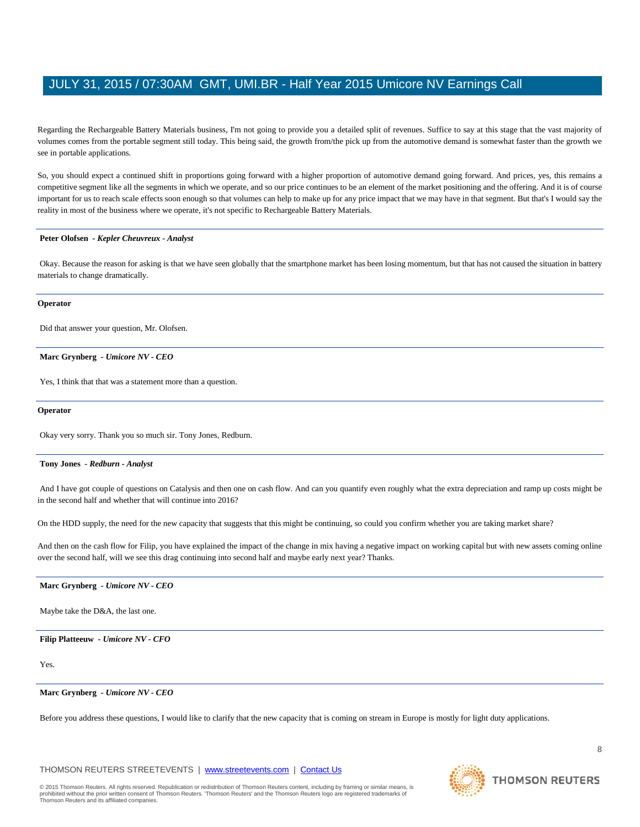Regarding the Rechargeable Battery Materials business, I'm not going to provide you a detailed split of revenues. Suffice to say at this stage that the vast majority of volumes comes from the portable segment still today. This being said, the growth from/the pick up from the automotive demand is somewhat faster than the growth we see in portable applications.

So, you should expect a continued shift in proportions going forward with a higher proportion of automotive demand going forward. And prices, yes, this remains a competitive segment like all the segments in which we operate, and so our price continues to be an element of the market positioning and the offering. And it is of course important for us to reach scale effects soon enough so that volumes can help to make up for any price impact that we may have in that segment. But that's I would say the reality in most of the business where we operate, it's not specific to Rechargeable Battery Materials.

## **Peter Olofsen** *- Kepler Cheuvreux - Analyst*

Okay. Because the reason for asking is that we have seen globally that the smartphone market has been losing momentum, but that has not caused the situation in battery materials to change dramatically.

#### **Operator**

Did that answer your question, Mr. Olofsen.

**Marc Grynberg** *- Umicore NV - CEO* 

Yes, I think that that was a statement more than a question.

#### **Operator**

Okay very sorry. Thank you so much sir. Tony Jones, Redburn.

## **Tony Jones** *- Redburn - Analyst*

And I have got couple of questions on Catalysis and then one on cash flow. And can you quantify even roughly what the extra depreciation and ramp up costs might be in the second half and whether that will continue into 2016?

On the HDD supply, the need for the new capacity that suggests that this might be continuing, so could you confirm whether you are taking market share?

And then on the cash flow for Filip, you have explained the impact of the change in mix having a negative impact on working capital but with new assets coming online over the second half, will we see this drag continuing into second half and maybe early next year? Thanks.

## **Marc Grynberg** *- Umicore NV - CEO*

Maybe take the D&A, the last one.

#### **Filip Platteeuw** *- Umicore NV - CFO*

Yes.

# **Marc Grynberg** *- Umicore NV - CEO*

Before you address these questions, I would like to clarify that the new capacity that is coming on stream in Europe is mostly for light duty applications.

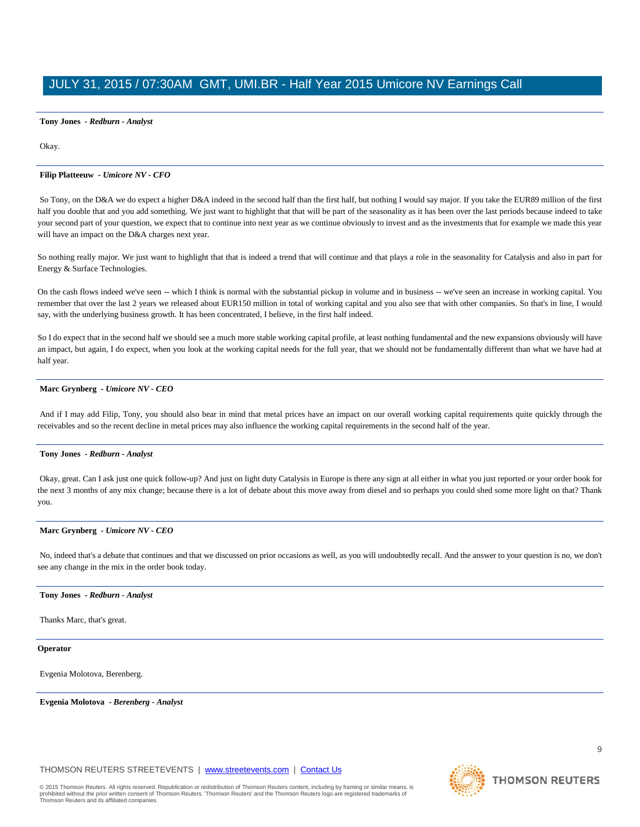# **Tony Jones** *- Redburn - Analyst*

Okay.

# **Filip Platteeuw** *- Umicore NV - CFO*

So Tony, on the D&A we do expect a higher D&A indeed in the second half than the first half, but nothing I would say major. If you take the EUR89 million of the first half you double that and you add something. We just want to highlight that that will be part of the seasonality as it has been over the last periods because indeed to take your second part of your question, we expect that to continue into next year as we continue obviously to invest and as the investments that for example we made this year will have an impact on the D&A charges next year.

So nothing really major. We just want to highlight that that is indeed a trend that will continue and that plays a role in the seasonality for Catalysis and also in part for Energy & Surface Technologies.

On the cash flows indeed we've seen -- which I think is normal with the substantial pickup in volume and in business -- we've seen an increase in working capital. You remember that over the last 2 years we released about EUR150 million in total of working capital and you also see that with other companies. So that's in line, I would say, with the underlying business growth. It has been concentrated, I believe, in the first half indeed.

So I do expect that in the second half we should see a much more stable working capital profile, at least nothing fundamental and the new expansions obviously will have an impact, but again, I do expect, when you look at the working capital needs for the full year, that we should not be fundamentally different than what we have had at half year.

# **Marc Grynberg** *- Umicore NV - CEO*

And if I may add Filip, Tony, you should also bear in mind that metal prices have an impact on our overall working capital requirements quite quickly through the receivables and so the recent decline in metal prices may also influence the working capital requirements in the second half of the year.

## **Tony Jones** *- Redburn - Analyst*

Okay, great. Can I ask just one quick follow-up? And just on light duty Catalysis in Europe is there any sign at all either in what you just reported or your order book for the next 3 months of any mix change; because there is a lot of debate about this move away from diesel and so perhaps you could shed some more light on that? Thank you.

#### **Marc Grynberg** *- Umicore NV - CEO*

No, indeed that's a debate that continues and that we discussed on prior occasions as well, as you will undoubtedly recall. And the answer to your question is no, we don't see any change in the mix in the order book today.

#### **Tony Jones** *- Redburn - Analyst*

Thanks Marc, that's great.

# **Operator**

Evgenia Molotova, Berenberg.

**Evgenia Molotova** *- Berenberg - Analyst* 

**THOMSON REUTERS** 

© 2015 Thomson Reuters. All rights reserved. Republication or redistribution of Thomson Reuters content, including by framing or similar means, is<br>prohibited without the prior written consent of Thomson Reuters. 'Thomson R Thomson Reuters and its affiliated companies.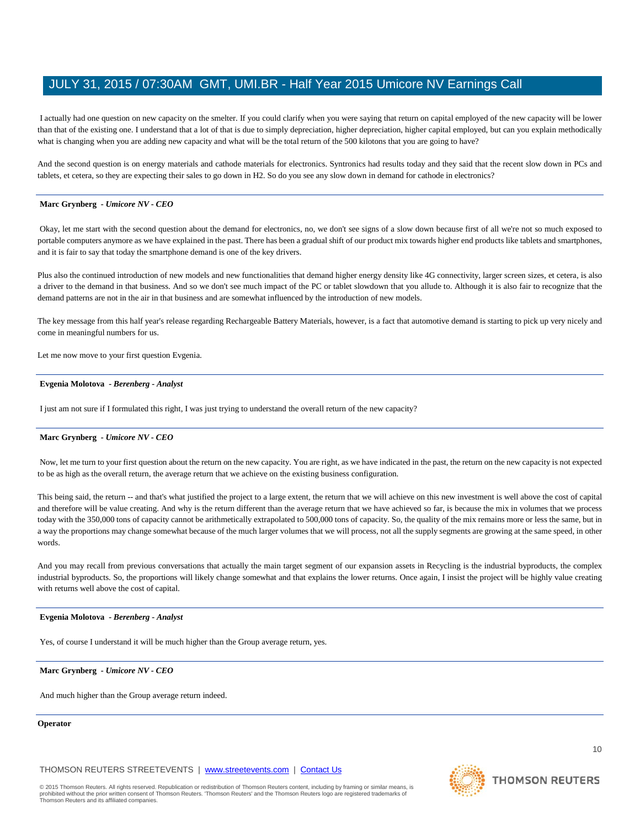I actually had one question on new capacity on the smelter. If you could clarify when you were saying that return on capital employed of the new capacity will be lower than that of the existing one. I understand that a lot of that is due to simply depreciation, higher depreciation, higher capital employed, but can you explain methodically what is changing when you are adding new capacity and what will be the total return of the 500 kilotons that you are going to have?

And the second question is on energy materials and cathode materials for electronics. Syntronics had results today and they said that the recent slow down in PCs and tablets, et cetera, so they are expecting their sales to go down in H2. So do you see any slow down in demand for cathode in electronics?

# **Marc Grynberg** *- Umicore NV - CEO*

Okay, let me start with the second question about the demand for electronics, no, we don't see signs of a slow down because first of all we're not so much exposed to portable computers anymore as we have explained in the past. There has been a gradual shift of our product mix towards higher end products like tablets and smartphones, and it is fair to say that today the smartphone demand is one of the key drivers.

Plus also the continued introduction of new models and new functionalities that demand higher energy density like 4G connectivity, larger screen sizes, et cetera, is also a driver to the demand in that business. And so we don't see much impact of the PC or tablet slowdown that you allude to. Although it is also fair to recognize that the demand patterns are not in the air in that business and are somewhat influenced by the introduction of new models.

The key message from this half year's release regarding Rechargeable Battery Materials, however, is a fact that automotive demand is starting to pick up very nicely and come in meaningful numbers for us.

Let me now move to your first question Evgenia.

#### **Evgenia Molotova** *- Berenberg - Analyst*

I just am not sure if I formulated this right, I was just trying to understand the overall return of the new capacity?

#### **Marc Grynberg** *- Umicore NV - CEO*

Now, let me turn to your first question about the return on the new capacity. You are right, as we have indicated in the past, the return on the new capacity is not expected to be as high as the overall return, the average return that we achieve on the existing business configuration.

This being said, the return -- and that's what justified the project to a large extent, the return that we will achieve on this new investment is well above the cost of capital and therefore will be value creating. And why is the return different than the average return that we have achieved so far, is because the mix in volumes that we process today with the 350,000 tons of capacity cannot be arithmetically extrapolated to 500,000 tons of capacity. So, the quality of the mix remains more or less the same, but in a way the proportions may change somewhat because of the much larger volumes that we will process, not all the supply segments are growing at the same speed, in other words.

And you may recall from previous conversations that actually the main target segment of our expansion assets in Recycling is the industrial byproducts, the complex industrial byproducts. So, the proportions will likely change somewhat and that explains the lower returns. Once again, I insist the project will be highly value creating with returns well above the cost of capital.

#### **Evgenia Molotova** *- Berenberg - Analyst*

Yes, of course I understand it will be much higher than the Group average return, yes.

**Marc Grynberg** *- Umicore NV - CEO* 

And much higher than the Group average return indeed.

# **Operator**

THOMSON REUTERS STREETEVENTS | [www.streetevents.com](http://www.streetevents.com/) | [Contact Us](http://www010.streetevents.com/contact.asp)

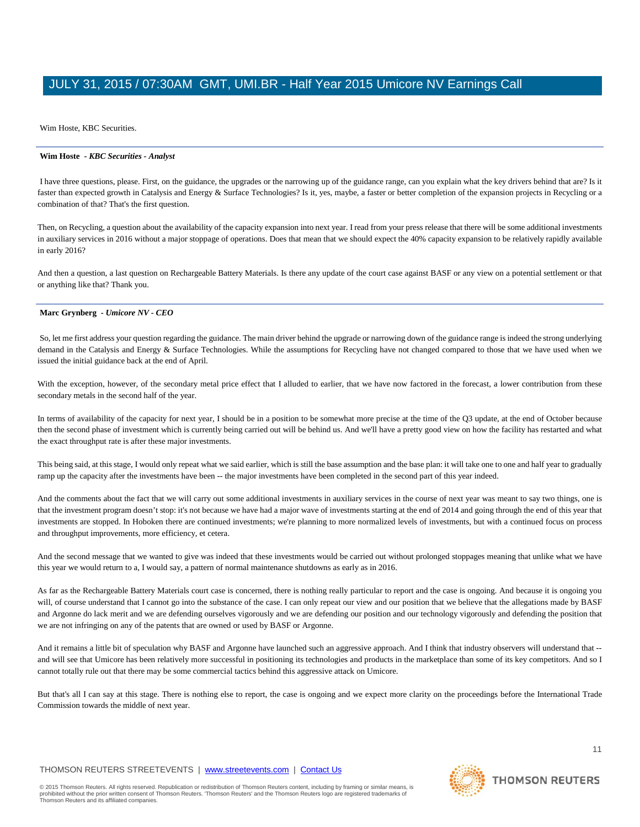Wim Hoste, KBC Securities.

# **Wim Hoste** *- KBC Securities - Analyst*

I have three questions, please. First, on the guidance, the upgrades or the narrowing up of the guidance range, can you explain what the key drivers behind that are? Is it faster than expected growth in Catalysis and Energy & Surface Technologies? Is it, yes, maybe, a faster or better completion of the expansion projects in Recycling or a combination of that? That's the first question.

Then, on Recycling, a question about the availability of the capacity expansion into next year. I read from your press release that there will be some additional investments in auxiliary services in 2016 without a major stoppage of operations. Does that mean that we should expect the 40% capacity expansion to be relatively rapidly available in early 2016?

And then a question, a last question on Rechargeable Battery Materials. Is there any update of the court case against BASF or any view on a potential settlement or that or anything like that? Thank you.

# **Marc Grynberg** *- Umicore NV - CEO*

So, let me first address your question regarding the guidance. The main driver behind the upgrade or narrowing down of the guidance range is indeed the strong underlying demand in the Catalysis and Energy & Surface Technologies. While the assumptions for Recycling have not changed compared to those that we have used when we issued the initial guidance back at the end of April.

With the exception, however, of the secondary metal price effect that I alluded to earlier, that we have now factored in the forecast, a lower contribution from these secondary metals in the second half of the year.

In terms of availability of the capacity for next year, I should be in a position to be somewhat more precise at the time of the Q3 update, at the end of October because then the second phase of investment which is currently being carried out will be behind us. And we'll have a pretty good view on how the facility has restarted and what the exact throughput rate is after these major investments.

This being said, at this stage, I would only repeat what we said earlier, which is still the base assumption and the base plan: it will take one to one and half year to gradually ramp up the capacity after the investments have been -- the major investments have been completed in the second part of this year indeed.

And the comments about the fact that we will carry out some additional investments in auxiliary services in the course of next year was meant to say two things, one is that the investment program doesn't stop: it's not because we have had a major wave of investments starting at the end of 2014 and going through the end of this year that investments are stopped. In Hoboken there are continued investments; we're planning to more normalized levels of investments, but with a continued focus on process and throughput improvements, more efficiency, et cetera.

And the second message that we wanted to give was indeed that these investments would be carried out without prolonged stoppages meaning that unlike what we have this year we would return to a, I would say, a pattern of normal maintenance shutdowns as early as in 2016.

As far as the Rechargeable Battery Materials court case is concerned, there is nothing really particular to report and the case is ongoing. And because it is ongoing you will, of course understand that I cannot go into the substance of the case. I can only repeat our view and our position that we believe that the allegations made by BASF and Argonne do lack merit and we are defending ourselves vigorously and we are defending our position and our technology vigorously and defending the position that we are not infringing on any of the patents that are owned or used by BASF or Argonne.

And it remains a little bit of speculation why BASF and Argonne have launched such an aggressive approach. And I think that industry observers will understand that -and will see that Umicore has been relatively more successful in positioning its technologies and products in the marketplace than some of its key competitors. And so I cannot totally rule out that there may be some commercial tactics behind this aggressive attack on Umicore.

But that's all I can say at this stage. There is nothing else to report, the case is ongoing and we expect more clarity on the proceedings before the International Trade Commission towards the middle of next year.

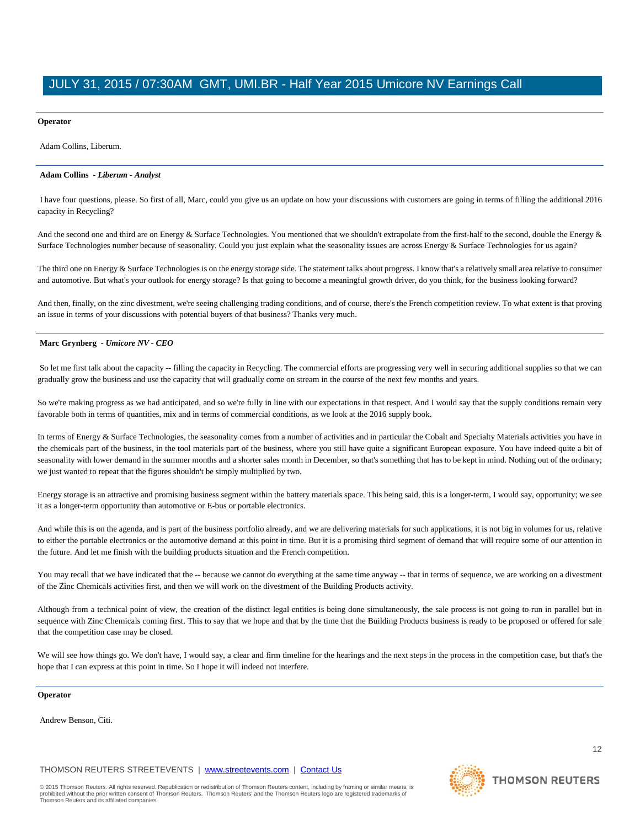# **Operator**

Adam Collins, Liberum.

# **Adam Collins** *- Liberum - Analyst*

I have four questions, please. So first of all, Marc, could you give us an update on how your discussions with customers are going in terms of filling the additional 2016 capacity in Recycling?

And the second one and third are on Energy  $&$  Surface Technologies. You mentioned that we shouldn't extrapolate from the first-half to the second, double the Energy  $&$ Surface Technologies number because of seasonality. Could you just explain what the seasonality issues are across Energy & Surface Technologies for us again?

The third one on Energy & Surface Technologies is on the energy storage side. The statement talks about progress. I know that's a relatively small area relative to consumer and automotive. But what's your outlook for energy storage? Is that going to become a meaningful growth driver, do you think, for the business looking forward?

And then, finally, on the zinc divestment, we're seeing challenging trading conditions, and of course, there's the French competition review. To what extent is that proving an issue in terms of your discussions with potential buyers of that business? Thanks very much.

# **Marc Grynberg** *- Umicore NV - CEO*

So let me first talk about the capacity -- filling the capacity in Recycling. The commercial efforts are progressing very well in securing additional supplies so that we can gradually grow the business and use the capacity that will gradually come on stream in the course of the next few months and years.

So we're making progress as we had anticipated, and so we're fully in line with our expectations in that respect. And I would say that the supply conditions remain very favorable both in terms of quantities, mix and in terms of commercial conditions, as we look at the 2016 supply book.

In terms of Energy & Surface Technologies, the seasonality comes from a number of activities and in particular the Cobalt and Specialty Materials activities you have in the chemicals part of the business, in the tool materials part of the business, where you still have quite a significant European exposure. You have indeed quite a bit of seasonality with lower demand in the summer months and a shorter sales month in December, so that's something that has to be kept in mind. Nothing out of the ordinary; we just wanted to repeat that the figures shouldn't be simply multiplied by two.

Energy storage is an attractive and promising business segment within the battery materials space. This being said, this is a longer-term, I would say, opportunity; we see it as a longer-term opportunity than automotive or E-bus or portable electronics.

And while this is on the agenda, and is part of the business portfolio already, and we are delivering materials for such applications, it is not big in volumes for us, relative to either the portable electronics or the automotive demand at this point in time. But it is a promising third segment of demand that will require some of our attention in the future. And let me finish with the building products situation and the French competition.

You may recall that we have indicated that the -- because we cannot do everything at the same time anyway -- that in terms of sequence, we are working on a divestment of the Zinc Chemicals activities first, and then we will work on the divestment of the Building Products activity.

Although from a technical point of view, the creation of the distinct legal entities is being done simultaneously, the sale process is not going to run in parallel but in sequence with Zinc Chemicals coming first. This to say that we hope and that by the time that the Building Products business is ready to be proposed or offered for sale that the competition case may be closed.

We will see how things go. We don't have, I would say, a clear and firm timeline for the hearings and the next steps in the process in the competition case, but that's the hope that I can express at this point in time. So I hope it will indeed not interfere.

## **Operator**

Andrew Benson, Citi.

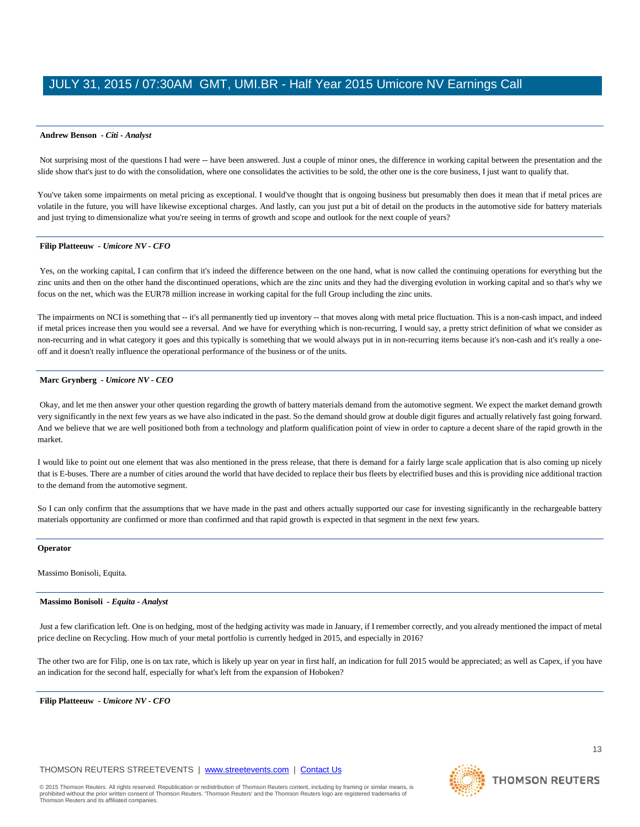#### **Andrew Benson** *- Citi - Analyst*

Not surprising most of the questions I had were -- have been answered. Just a couple of minor ones, the difference in working capital between the presentation and the slide show that's just to do with the consolidation, where one consolidates the activities to be sold, the other one is the core business, I just want to qualify that.

You've taken some impairments on metal pricing as exceptional. I would've thought that is ongoing business but presumably then does it mean that if metal prices are volatile in the future, you will have likewise exceptional charges. And lastly, can you just put a bit of detail on the products in the automotive side for battery materials and just trying to dimensionalize what you're seeing in terms of growth and scope and outlook for the next couple of years?

# **Filip Platteeuw** *- Umicore NV - CFO*

Yes, on the working capital, I can confirm that it's indeed the difference between on the one hand, what is now called the continuing operations for everything but the zinc units and then on the other hand the discontinued operations, which are the zinc units and they had the diverging evolution in working capital and so that's why we focus on the net, which was the EUR78 million increase in working capital for the full Group including the zinc units.

The impairments on NCI is something that -- it's all permanently tied up inventory -- that moves along with metal price fluctuation. This is a non-cash impact, and indeed if metal prices increase then you would see a reversal. And we have for everything which is non-recurring, I would say, a pretty strict definition of what we consider as non-recurring and in what category it goes and this typically is something that we would always put in in non-recurring items because it's non-cash and it's really a oneoff and it doesn't really influence the operational performance of the business or of the units.

## **Marc Grynberg** *- Umicore NV - CEO*

Okay, and let me then answer your other question regarding the growth of battery materials demand from the automotive segment. We expect the market demand growth very significantly in the next few years as we have also indicated in the past. So the demand should grow at double digit figures and actually relatively fast going forward. And we believe that we are well positioned both from a technology and platform qualification point of view in order to capture a decent share of the rapid growth in the market.

I would like to point out one element that was also mentioned in the press release, that there is demand for a fairly large scale application that is also coming up nicely that is E-buses. There are a number of cities around the world that have decided to replace their bus fleets by electrified buses and this is providing nice additional traction to the demand from the automotive segment.

So I can only confirm that the assumptions that we have made in the past and others actually supported our case for investing significantly in the rechargeable battery materials opportunity are confirmed or more than confirmed and that rapid growth is expected in that segment in the next few years.

#### **Operator**

Massimo Bonisoli, Equita.

#### **Massimo Bonisoli** *- Equita - Analyst*

Just a few clarification left. One is on hedging, most of the hedging activity was made in January, if I remember correctly, and you already mentioned the impact of metal price decline on Recycling. How much of your metal portfolio is currently hedged in 2015, and especially in 2016?

The other two are for Filip, one is on tax rate, which is likely up year on year in first half, an indication for full 2015 would be appreciated; as well as Capex, if you have an indication for the second half, especially for what's left from the expansion of Hoboken?

**Filip Platteeuw** *- Umicore NV - CFO* 

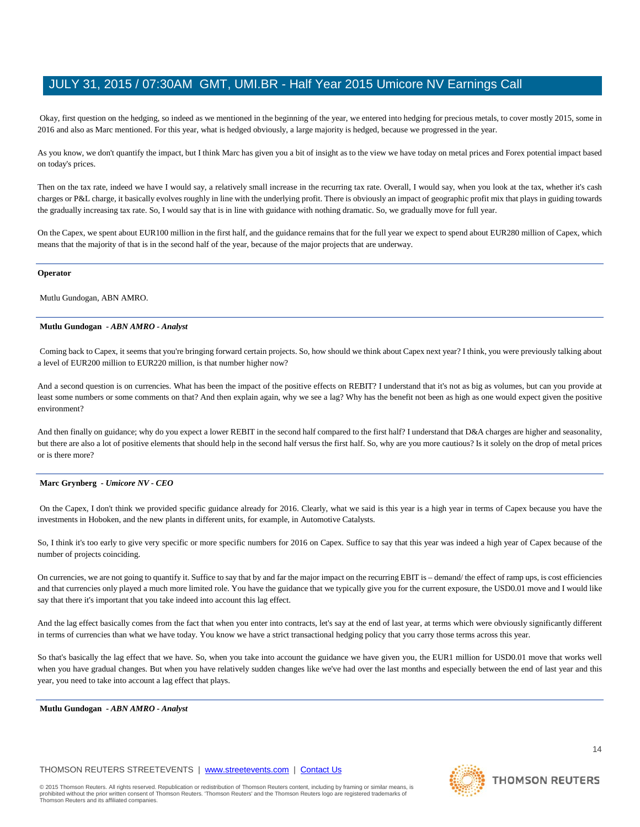Okay, first question on the hedging, so indeed as we mentioned in the beginning of the year, we entered into hedging for precious metals, to cover mostly 2015, some in 2016 and also as Marc mentioned. For this year, what is hedged obviously, a large majority is hedged, because we progressed in the year.

As you know, we don't quantify the impact, but I think Marc has given you a bit of insight as to the view we have today on metal prices and Forex potential impact based on today's prices.

Then on the tax rate, indeed we have I would say, a relatively small increase in the recurring tax rate. Overall, I would say, when you look at the tax, whether it's cash charges or P&L charge, it basically evolves roughly in line with the underlying profit. There is obviously an impact of geographic profit mix that plays in guiding towards the gradually increasing tax rate. So, I would say that is in line with guidance with nothing dramatic. So, we gradually move for full year.

On the Capex, we spent about EUR100 million in the first half, and the guidance remains that for the full year we expect to spend about EUR280 million of Capex, which means that the majority of that is in the second half of the year, because of the major projects that are underway.

#### **Operator**

Mutlu Gundogan, ABN AMRO.

# **Mutlu Gundogan** *- ABN AMRO - Analyst*

Coming back to Capex, it seems that you're bringing forward certain projects. So, how should we think about Capex next year? I think, you were previously talking about a level of EUR200 million to EUR220 million, is that number higher now?

And a second question is on currencies. What has been the impact of the positive effects on REBIT? I understand that it's not as big as volumes, but can you provide at least some numbers or some comments on that? And then explain again, why we see a lag? Why has the benefit not been as high as one would expect given the positive environment?

And then finally on guidance; why do you expect a lower REBIT in the second half compared to the first half? I understand that D&A charges are higher and seasonality, but there are also a lot of positive elements that should help in the second half versus the first half. So, why are you more cautious? Is it solely on the drop of metal prices or is there more?

#### **Marc Grynberg** *- Umicore NV - CEO*

On the Capex, I don't think we provided specific guidance already for 2016. Clearly, what we said is this year is a high year in terms of Capex because you have the investments in Hoboken, and the new plants in different units, for example, in Automotive Catalysts.

So, I think it's too early to give very specific or more specific numbers for 2016 on Capex. Suffice to say that this year was indeed a high year of Capex because of the number of projects coinciding.

On currencies, we are not going to quantify it. Suffice to say that by and far the major impact on the recurring EBIT is – demand/ the effect of ramp ups, is cost efficiencies and that currencies only played a much more limited role. You have the guidance that we typically give you for the current exposure, the USD0.01 move and I would like say that there it's important that you take indeed into account this lag effect.

And the lag effect basically comes from the fact that when you enter into contracts, let's say at the end of last year, at terms which were obviously significantly different in terms of currencies than what we have today. You know we have a strict transactional hedging policy that you carry those terms across this year.

So that's basically the lag effect that we have. So, when you take into account the guidance we have given you, the EUR1 million for USD0.01 move that works well when you have gradual changes. But when you have relatively sudden changes like we've had over the last months and especially between the end of last year and this year, you need to take into account a lag effect that plays.

**Mutlu Gundogan** *- ABN AMRO - Analyst* 

Thomson Reuters and its affiliated companies.

© 2015 Thomson Reuters. All rights reserved. Republication or redistribution of Thomson Reuters content, including by framing or similar means, is<br>prohibited without the prior written consent of Thomson Reuters. 'Thomson R

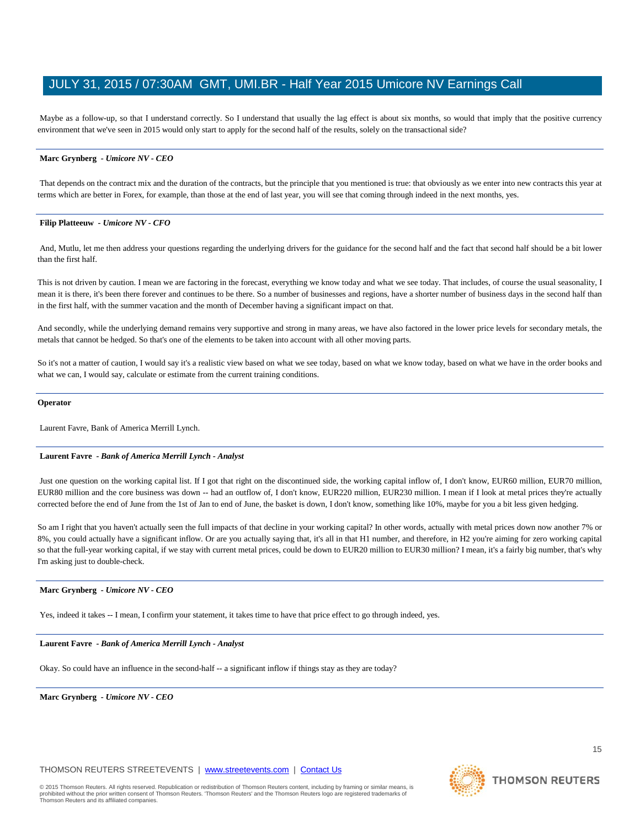Maybe as a follow-up, so that I understand correctly. So I understand that usually the lag effect is about six months, so would that imply that the positive currency environment that we've seen in 2015 would only start to apply for the second half of the results, solely on the transactional side?

# **Marc Grynberg** *- Umicore NV - CEO*

That depends on the contract mix and the duration of the contracts, but the principle that you mentioned is true: that obviously as we enter into new contracts this year at terms which are better in Forex, for example, than those at the end of last year, you will see that coming through indeed in the next months, yes.

#### **Filip Platteeuw** *- Umicore NV - CFO*

And, Mutlu, let me then address your questions regarding the underlying drivers for the guidance for the second half and the fact that second half should be a bit lower than the first half.

This is not driven by caution. I mean we are factoring in the forecast, everything we know today and what we see today. That includes, of course the usual seasonality, I mean it is there, it's been there forever and continues to be there. So a number of businesses and regions, have a shorter number of business days in the second half than in the first half, with the summer vacation and the month of December having a significant impact on that.

And secondly, while the underlying demand remains very supportive and strong in many areas, we have also factored in the lower price levels for secondary metals, the metals that cannot be hedged. So that's one of the elements to be taken into account with all other moving parts.

So it's not a matter of caution, I would say it's a realistic view based on what we see today, based on what we know today, based on what we have in the order books and what we can, I would say, calculate or estimate from the current training conditions.

#### **Operator**

Laurent Favre, Bank of America Merrill Lynch.

#### **Laurent Favre** *- Bank of America Merrill Lynch - Analyst*

Just one question on the working capital list. If I got that right on the discontinued side, the working capital inflow of, I don't know, EUR60 million, EUR70 million, EUR80 million and the core business was down -- had an outflow of, I don't know, EUR220 million, EUR230 million. I mean if I look at metal prices they're actually corrected before the end of June from the 1st of Jan to end of June, the basket is down, I don't know, something like 10%, maybe for you a bit less given hedging.

So am I right that you haven't actually seen the full impacts of that decline in your working capital? In other words, actually with metal prices down now another 7% or 8%, you could actually have a significant inflow. Or are you actually saying that, it's all in that H1 number, and therefore, in H2 you're aiming for zero working capital so that the full-year working capital, if we stay with current metal prices, could be down to EUR20 million to EUR30 million? I mean, it's a fairly big number, that's why I'm asking just to double-check.

# **Marc Grynberg** *- Umicore NV - CEO*

Yes, indeed it takes -- I mean, I confirm your statement, it takes time to have that price effect to go through indeed, yes.

# **Laurent Favre** *- Bank of America Merrill Lynch - Analyst*

Okay. So could have an influence in the second-half -- a significant inflow if things stay as they are today?

**Marc Grynberg** *- Umicore NV - CEO* 

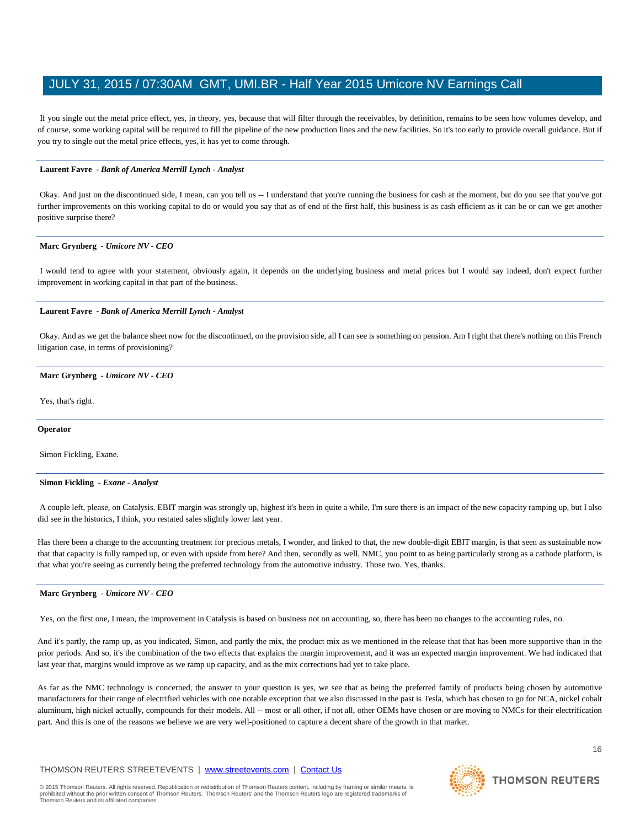If you single out the metal price effect, yes, in theory, yes, because that will filter through the receivables, by definition, remains to be seen how volumes develop, and of course, some working capital will be required to fill the pipeline of the new production lines and the new facilities. So it's too early to provide overall guidance. But if you try to single out the metal price effects, yes, it has yet to come through.

# **Laurent Favre** *- Bank of America Merrill Lynch - Analyst*

Okay. And just on the discontinued side, I mean, can you tell us -- I understand that you're running the business for cash at the moment, but do you see that you've got further improvements on this working capital to do or would you say that as of end of the first half, this business is as cash efficient as it can be or can we get another positive surprise there?

# **Marc Grynberg** *- Umicore NV - CEO*

I would tend to agree with your statement, obviously again, it depends on the underlying business and metal prices but I would say indeed, don't expect further improvement in working capital in that part of the business.

# **Laurent Favre** *- Bank of America Merrill Lynch - Analyst*

Okay. And as we get the balance sheet now for the discontinued, on the provision side, all I can see is something on pension. Am I right that there's nothing on this French litigation case, in terms of provisioning?

# **Marc Grynberg** *- Umicore NV - CEO*

Yes, that's right.

# **Operator**

Simon Fickling, Exane.

# **Simon Fickling** *- Exane - Analyst*

A couple left, please, on Catalysis. EBIT margin was strongly up, highest it's been in quite a while, I'm sure there is an impact of the new capacity ramping up, but I also did see in the historics, I think, you restated sales slightly lower last year.

Has there been a change to the accounting treatment for precious metals, I wonder, and linked to that, the new double-digit EBIT margin, is that seen as sustainable now that that capacity is fully ramped up, or even with upside from here? And then, secondly as well, NMC, you point to as being particularly strong as a cathode platform, is that what you're seeing as currently being the preferred technology from the automotive industry. Those two. Yes, thanks.

# **Marc Grynberg** *- Umicore NV - CEO*

Yes, on the first one, I mean, the improvement in Catalysis is based on business not on accounting, so, there has been no changes to the accounting rules, no.

And it's partly, the ramp up, as you indicated, Simon, and partly the mix, the product mix as we mentioned in the release that that has been more supportive than in the prior periods. And so, it's the combination of the two effects that explains the margin improvement, and it was an expected margin improvement. We had indicated that last year that, margins would improve as we ramp up capacity, and as the mix corrections had yet to take place.

As far as the NMC technology is concerned, the answer to your question is yes, we see that as being the preferred family of products being chosen by automotive manufacturers for their range of electrified vehicles with one notable exception that we also discussed in the past is Tesla, which has chosen to go for NCA, nickel cobalt aluminum, high nickel actually, compounds for their models. All -- most or all other, if not all, other OEMs have chosen or are moving to NMCs for their electrification part. And this is one of the reasons we believe we are very well-positioned to capture a decent share of the growth in that market.

# THOMSON REUTERS STREETEVENTS | [www.streetevents.com](http://www.streetevents.com/) | [Contact Us](http://www010.streetevents.com/contact.asp)

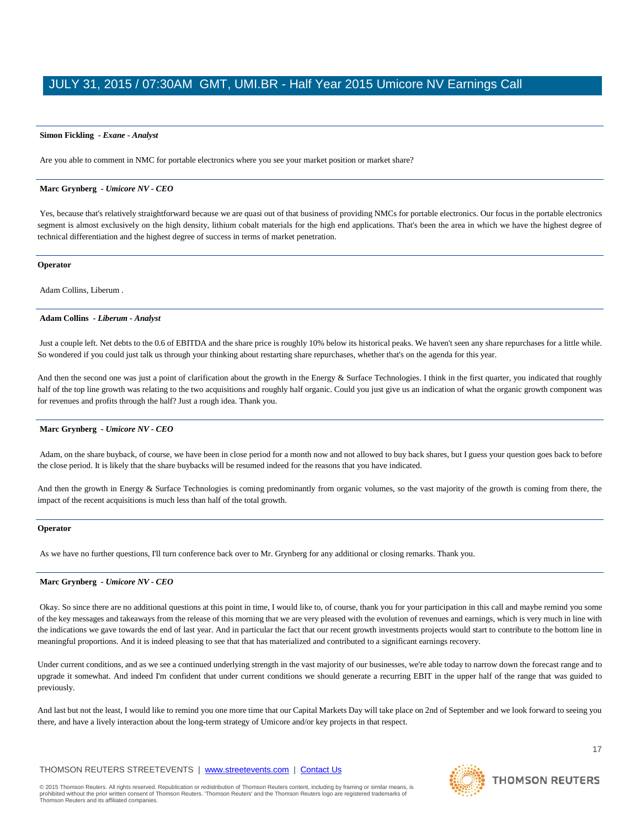## **Simon Fickling** *- Exane - Analyst*

Are you able to comment in NMC for portable electronics where you see your market position or market share?

#### **Marc Grynberg** *- Umicore NV - CEO*

Yes, because that's relatively straightforward because we are quasi out of that business of providing NMCs for portable electronics. Our focus in the portable electronics segment is almost exclusively on the high density, lithium cobalt materials for the high end applications. That's been the area in which we have the highest degree of technical differentiation and the highest degree of success in terms of market penetration.

#### **Operator**

Adam Collins, Liberum .

#### **Adam Collins** *- Liberum - Analyst*

Just a couple left. Net debts to the 0.6 of EBITDA and the share price is roughly 10% below its historical peaks. We haven't seen any share repurchases for a little while. So wondered if you could just talk us through your thinking about restarting share repurchases, whether that's on the agenda for this year.

And then the second one was just a point of clarification about the growth in the Energy & Surface Technologies. I think in the first quarter, you indicated that roughly half of the top line growth was relating to the two acquisitions and roughly half organic. Could you just give us an indication of what the organic growth component was for revenues and profits through the half? Just a rough idea. Thank you.

# **Marc Grynberg** *- Umicore NV - CEO*

Adam, on the share buyback, of course, we have been in close period for a month now and not allowed to buy back shares, but I guess your question goes back to before the close period. It is likely that the share buybacks will be resumed indeed for the reasons that you have indicated.

And then the growth in Energy & Surface Technologies is coming predominantly from organic volumes, so the vast majority of the growth is coming from there, the impact of the recent acquisitions is much less than half of the total growth.

# **Operator**

As we have no further questions, I'll turn conference back over to Mr. Grynberg for any additional or closing remarks. Thank you.

#### **Marc Grynberg** *- Umicore NV - CEO*

Okay. So since there are no additional questions at this point in time, I would like to, of course, thank you for your participation in this call and maybe remind you some of the key messages and takeaways from the release of this morning that we are very pleased with the evolution of revenues and earnings, which is very much in line with the indications we gave towards the end of last year. And in particular the fact that our recent growth investments projects would start to contribute to the bottom line in meaningful proportions. And it is indeed pleasing to see that that has materialized and contributed to a significant earnings recovery.

Under current conditions, and as we see a continued underlying strength in the vast majority of our businesses, we're able today to narrow down the forecast range and to upgrade it somewhat. And indeed I'm confident that under current conditions we should generate a recurring EBIT in the upper half of the range that was guided to previously.

And last but not the least, I would like to remind you one more time that our Capital Markets Day will take place on 2nd of September and we look forward to seeing you there, and have a lively interaction about the long-term strategy of Umicore and/or key projects in that respect.